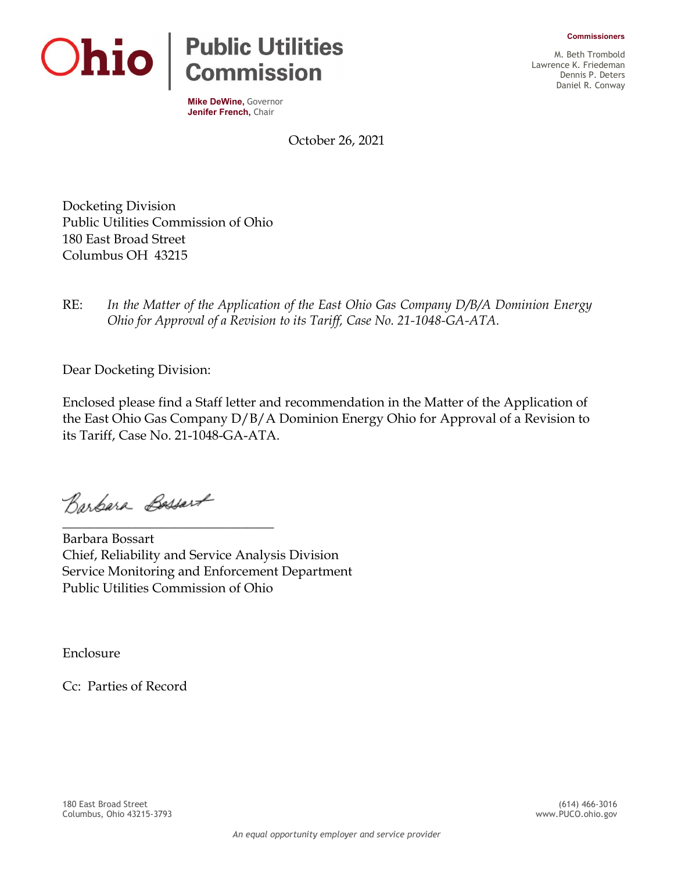**Commissioners**



**Mike DeWine,** Governor **Jenifer French,** Chair

M. Beth Trombold Lawrence K. Friedeman Dennis P. Deters Daniel R. Conway

October 26, 2021

Docketing Division Public Utilities Commission of Ohio 180 East Broad Street Columbus OH 43215

RE: *In the Matter of the Application of the East Ohio Gas Company D/B/A Dominion Energy Ohio for Approval of a Revision to its Tariff, Case No. 21-1048-GA-ATA.*

Dear Docketing Division:

Enclosed please find a Staff letter and recommendation in the Matter of the Application of the East Ohio Gas Company D/B/A Dominion Energy Ohio for Approval of a Revision to its Tariff, Case No. 21-1048-GA-ATA.

Barbara Bassart

\_\_\_\_\_\_\_\_\_\_\_\_\_\_\_\_\_\_\_\_\_\_\_\_\_\_\_\_\_\_\_\_

Barbara Bossart Chief, Reliability and Service Analysis Division Service Monitoring and Enforcement Department Public Utilities Commission of Ohio

Enclosure

Cc: Parties of Record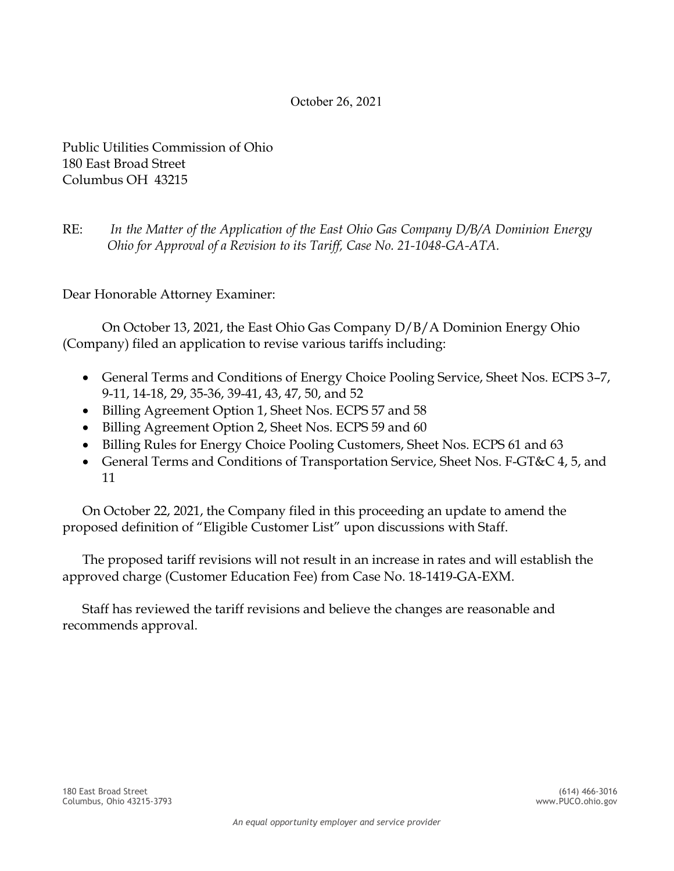#### October 26, 2021

Public Utilities Commission of Ohio 180 East Broad Street Columbus OH 43215

RE: *In the Matter of the Application of the East Ohio Gas Company D/B/A Dominion Energy Ohio for Approval of a Revision to its Tariff, Case No. 21-1048-GA-ATA.*

Dear Honorable Attorney Examiner:

On October 13, 2021, the East Ohio Gas Company D/B/A Dominion Energy Ohio (Company) filed an application to revise various tariffs including:

- General Terms and Conditions of Energy Choice Pooling Service, Sheet Nos. ECPS 3–7, 9-11, 14-18, 29, 35-36, 39-41, 43, 47, 50, and 52
- Billing Agreement Option 1, Sheet Nos. ECPS 57 and 58
- Billing Agreement Option 2, Sheet Nos. ECPS 59 and 60
- Billing Rules for Energy Choice Pooling Customers, Sheet Nos. ECPS 61 and 63
- General Terms and Conditions of Transportation Service, Sheet Nos. F-GT&C 4, 5, and 11

On October 22, 2021, the Company filed in this proceeding an update to amend the proposed definition of "Eligible Customer List" upon discussions with Staff.

The proposed tariff revisions will not result in an increase in rates and will establish the approved charge (Customer Education Fee) from Case No. 18-1419-GA-EXM.

Staff has reviewed the tariff revisions and believe the changes are reasonable and recommends approval.